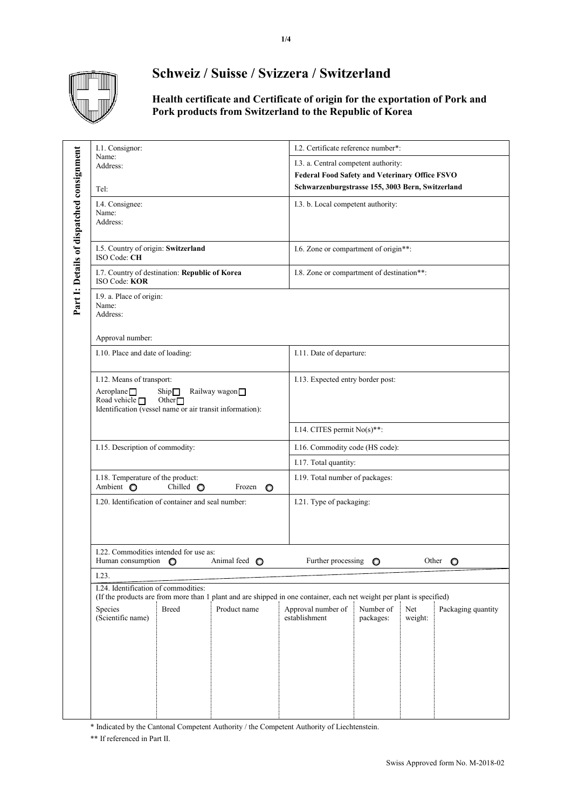

## **Schweiz / Suisse / Svizzera / Switzerland**

**Health certificate and Certificate of origin for the exportation of Pork and Pork products from Switzerland to the Republic of Korea**

|                                           | I.1. Consignor:                                                 |                                 |               | I.2. Certificate reference number*:                                                                                   |  |  |  |
|-------------------------------------------|-----------------------------------------------------------------|---------------------------------|---------------|-----------------------------------------------------------------------------------------------------------------------|--|--|--|
| Part I: Details of dispatched consignment | Name:<br>Address:                                               |                                 |               |                                                                                                                       |  |  |  |
|                                           |                                                                 |                                 |               | I.3. a. Central competent authority:                                                                                  |  |  |  |
|                                           |                                                                 |                                 |               | <b>Federal Food Safety and Veterinary Office FSVO</b>                                                                 |  |  |  |
|                                           | Tel:                                                            |                                 |               | Schwarzenburgstrasse 155, 3003 Bern, Switzerland                                                                      |  |  |  |
|                                           | I.4. Consignee:                                                 |                                 |               | I.3. b. Local competent authority:                                                                                    |  |  |  |
|                                           | Name:                                                           |                                 |               |                                                                                                                       |  |  |  |
|                                           | Address:                                                        |                                 |               |                                                                                                                       |  |  |  |
|                                           |                                                                 |                                 |               |                                                                                                                       |  |  |  |
|                                           | I.5. Country of origin: Switzerland<br>ISO Code: CH             |                                 |               | I.6. Zone or compartment of origin**:                                                                                 |  |  |  |
|                                           |                                                                 |                                 |               |                                                                                                                       |  |  |  |
|                                           | I.7. Country of destination: Republic of Korea<br>ISO Code: KOR |                                 |               | I.8. Zone or compartment of destination**:                                                                            |  |  |  |
|                                           |                                                                 |                                 |               |                                                                                                                       |  |  |  |
|                                           | I.9. a. Place of origin:<br>Name:                               |                                 |               |                                                                                                                       |  |  |  |
|                                           | Address:                                                        |                                 |               |                                                                                                                       |  |  |  |
|                                           |                                                                 |                                 |               |                                                                                                                       |  |  |  |
|                                           | Approval number:                                                |                                 |               |                                                                                                                       |  |  |  |
|                                           | I.10. Place and date of loading:                                |                                 |               | I.11. Date of departure:                                                                                              |  |  |  |
|                                           |                                                                 |                                 |               |                                                                                                                       |  |  |  |
|                                           | I.12. Means of transport:                                       |                                 |               | I.13. Expected entry border post:                                                                                     |  |  |  |
|                                           | Aeroplane $\square$                                             | $\mathrm{Ship}\square$          | Railway wagon |                                                                                                                       |  |  |  |
|                                           | Road vehicle $\Box$                                             | Other $\Box$                    |               |                                                                                                                       |  |  |  |
|                                           | Identification (vessel name or air transit information):        |                                 |               |                                                                                                                       |  |  |  |
|                                           |                                                                 |                                 |               | I.14. CITES permit $No(s)*$ :                                                                                         |  |  |  |
|                                           |                                                                 |                                 |               |                                                                                                                       |  |  |  |
|                                           |                                                                 | I.15. Description of commodity: |               | I.16. Commodity code (HS code):                                                                                       |  |  |  |
|                                           |                                                                 |                                 |               | I.17. Total quantity:                                                                                                 |  |  |  |
|                                           | I.18. Temperature of the product:                               |                                 |               | I.19. Total number of packages:                                                                                       |  |  |  |
|                                           | Ambient O                                                       | Chilled $\bigcirc$              | Frozen<br>O   |                                                                                                                       |  |  |  |
|                                           | I.20. Identification of container and seal number:              |                                 |               | I.21. Type of packaging:                                                                                              |  |  |  |
|                                           |                                                                 |                                 |               |                                                                                                                       |  |  |  |
|                                           |                                                                 |                                 |               |                                                                                                                       |  |  |  |
|                                           |                                                                 |                                 |               |                                                                                                                       |  |  |  |
|                                           | I.22. Commodities intended for use as:                          |                                 |               |                                                                                                                       |  |  |  |
|                                           | Human consumption                                               | $\circ$                         | Animal feed O | Further processing<br>Other<br>$\circ$<br>O                                                                           |  |  |  |
|                                           | I.23.                                                           |                                 |               |                                                                                                                       |  |  |  |
|                                           | I.24. Identification of commodities:                            |                                 |               |                                                                                                                       |  |  |  |
|                                           |                                                                 |                                 |               | (If the products are from more than 1 plant and are shipped in one container, each net weight per plant is specified) |  |  |  |
|                                           | Species                                                         | <b>Breed</b>                    | Product name  | Net<br>Approval number of<br>Number of<br>Packaging quantity<br>establishment                                         |  |  |  |
|                                           | (Scientific name)                                               |                                 |               | packages:<br>weight:                                                                                                  |  |  |  |
|                                           |                                                                 |                                 |               |                                                                                                                       |  |  |  |
|                                           |                                                                 |                                 |               |                                                                                                                       |  |  |  |
|                                           |                                                                 |                                 |               |                                                                                                                       |  |  |  |
|                                           |                                                                 |                                 |               |                                                                                                                       |  |  |  |
|                                           |                                                                 |                                 |               |                                                                                                                       |  |  |  |
|                                           |                                                                 |                                 |               |                                                                                                                       |  |  |  |
|                                           |                                                                 |                                 |               |                                                                                                                       |  |  |  |
|                                           |                                                                 |                                 |               |                                                                                                                       |  |  |  |

\* Indicated by the Cantonal Competent Authority / the Competent Authority of Liechtenstein.

\*\* If referenced in Part II.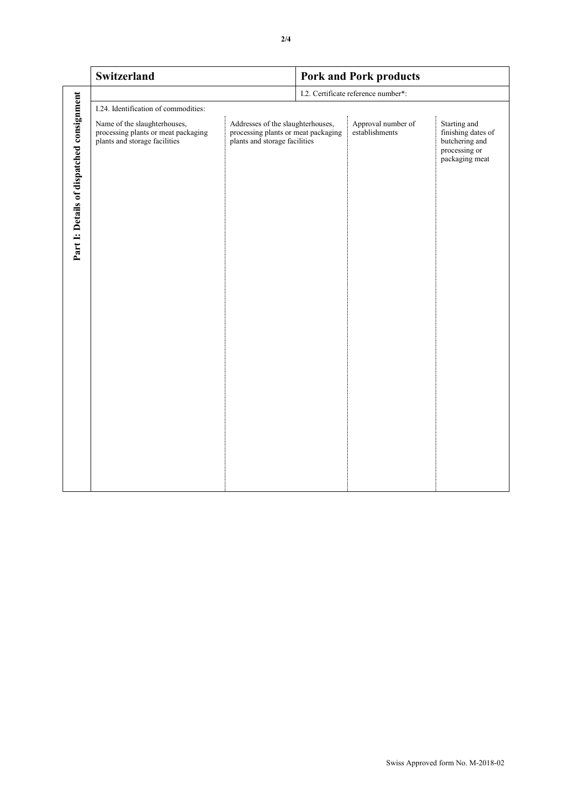|                                           | Switzerland                                                                                          |                                                                                                           | <b>Pork and Pork products</b>       |                                      |                                                                                         |  |  |  |
|-------------------------------------------|------------------------------------------------------------------------------------------------------|-----------------------------------------------------------------------------------------------------------|-------------------------------------|--------------------------------------|-----------------------------------------------------------------------------------------|--|--|--|
|                                           |                                                                                                      |                                                                                                           | I.2. Certificate reference number*: |                                      |                                                                                         |  |  |  |
|                                           | I.24. Identification of commodities:                                                                 |                                                                                                           |                                     |                                      |                                                                                         |  |  |  |
| Part I: Details of dispatched consignment | Name of the slaughterhouses,<br>processing plants or meat packaging<br>plants and storage facilities | Addresses of the slaughterhouses,<br>processing plants or meat packaging<br>plants and storage facilities |                                     | Approval number of<br>establishments | Starting and<br>finishing dates of<br>butchering and<br>processing or<br>packaging meat |  |  |  |
|                                           |                                                                                                      |                                                                                                           |                                     |                                      |                                                                                         |  |  |  |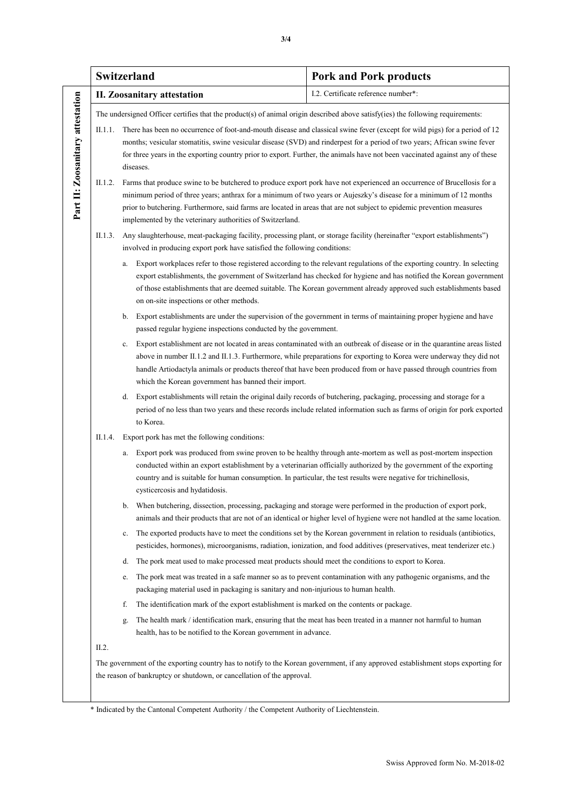|                                  | Switzerland                                                                                                                                                                                                 |                                                                                                                                                                                                        | <b>Pork and Pork products</b>                                                                                                                                                                                                                                                                                                                                                                   |  |  |  |  |
|----------------------------------|-------------------------------------------------------------------------------------------------------------------------------------------------------------------------------------------------------------|--------------------------------------------------------------------------------------------------------------------------------------------------------------------------------------------------------|-------------------------------------------------------------------------------------------------------------------------------------------------------------------------------------------------------------------------------------------------------------------------------------------------------------------------------------------------------------------------------------------------|--|--|--|--|
|                                  |                                                                                                                                                                                                             | <b>II. Zoosanitary attestation</b>                                                                                                                                                                     | I.2. Certificate reference number*:                                                                                                                                                                                                                                                                                                                                                             |  |  |  |  |
| Part II: Zoosanitary attestation | The undersigned Officer certifies that the product(s) of animal origin described above satisfy(ies) the following requirements:                                                                             |                                                                                                                                                                                                        |                                                                                                                                                                                                                                                                                                                                                                                                 |  |  |  |  |
|                                  |                                                                                                                                                                                                             | diseases.                                                                                                                                                                                              | II.1.1. There has been no occurrence of foot-and-mouth disease and classical swine fever (except for wild pigs) for a period of 12<br>months; vesicular stomatitis, swine vesicular disease (SVD) and rinderpest for a period of two years; African swine fever<br>for three years in the exporting country prior to export. Further, the animals have not been vaccinated against any of these |  |  |  |  |
|                                  | II.1.2.                                                                                                                                                                                                     | prior to butchering. Furthermore, said farms are located in areas that are not subject to epidemic prevention measures<br>implemented by the veterinary authorities of Switzerland.                    | Farms that produce swine to be butchered to produce export pork have not experienced an occurrence of Brucellosis for a<br>minimum period of three years; anthrax for a minimum of two years or Aujeszky's disease for a minimum of 12 months                                                                                                                                                   |  |  |  |  |
|                                  | II.1.3.                                                                                                                                                                                                     | Any slaughterhouse, meat-packaging facility, processing plant, or storage facility (hereinafter "export establishments")<br>involved in producing export pork have satisfied the following conditions: |                                                                                                                                                                                                                                                                                                                                                                                                 |  |  |  |  |
|                                  |                                                                                                                                                                                                             | a.<br>on on-site inspections or other methods.                                                                                                                                                         | Export workplaces refer to those registered according to the relevant regulations of the exporting country. In selecting<br>export establishments, the government of Switzerland has checked for hygiene and has notified the Korean government<br>of those establishments that are deemed suitable. The Korean government already approved such establishments based                           |  |  |  |  |
|                                  |                                                                                                                                                                                                             | b.<br>passed regular hygiene inspections conducted by the government.                                                                                                                                  | Export establishments are under the supervision of the government in terms of maintaining proper hygiene and have                                                                                                                                                                                                                                                                               |  |  |  |  |
|                                  |                                                                                                                                                                                                             | c.<br>which the Korean government has banned their import.                                                                                                                                             | Export establishment are not located in areas contaminated with an outbreak of disease or in the quarantine areas listed<br>above in number II.1.2 and II.1.3. Furthermore, while preparations for exporting to Korea were underway they did not<br>handle Artiodactyla animals or products thereof that have been produced from or have passed through countries from                          |  |  |  |  |
|                                  |                                                                                                                                                                                                             | d.<br>to Korea.                                                                                                                                                                                        | Export establishments will retain the original daily records of butchering, packaging, processing and storage for a<br>period of no less than two years and these records include related information such as farms of origin for pork exported                                                                                                                                                 |  |  |  |  |
|                                  | II.1.4.                                                                                                                                                                                                     | Export pork has met the following conditions:                                                                                                                                                          |                                                                                                                                                                                                                                                                                                                                                                                                 |  |  |  |  |
|                                  |                                                                                                                                                                                                             | a.<br>country and is suitable for human consumption. In particular, the test results were negative for trichinellosis,<br>cysticercosis and hydatidosis.                                               | Export pork was produced from swine proven to be healthy through ante-mortem as well as post-mortem inspection<br>conducted within an export establishment by a veterinarian officially authorized by the government of the exporting                                                                                                                                                           |  |  |  |  |
|                                  |                                                                                                                                                                                                             | b. When butchering, dissection, processing, packaging and storage were performed in the production of export pork,                                                                                     | animals and their products that are not of an identical or higher level of hygiene were not handled at the same location.                                                                                                                                                                                                                                                                       |  |  |  |  |
|                                  |                                                                                                                                                                                                             | c.                                                                                                                                                                                                     | The exported products have to meet the conditions set by the Korean government in relation to residuals (antibiotics,<br>pesticides, hormones), microorganisms, radiation, ionization, and food additives (preservatives, meat tenderizer etc.)                                                                                                                                                 |  |  |  |  |
|                                  |                                                                                                                                                                                                             | The pork meat used to make processed meat products should meet the conditions to export to Korea.<br>d.                                                                                                |                                                                                                                                                                                                                                                                                                                                                                                                 |  |  |  |  |
|                                  |                                                                                                                                                                                                             | e.<br>packaging material used in packaging is sanitary and non-injurious to human health.                                                                                                              | The pork meat was treated in a safe manner so as to prevent contamination with any pathogenic organisms, and the                                                                                                                                                                                                                                                                                |  |  |  |  |
|                                  |                                                                                                                                                                                                             | The identification mark of the export establishment is marked on the contents or package.<br>f.                                                                                                        |                                                                                                                                                                                                                                                                                                                                                                                                 |  |  |  |  |
|                                  |                                                                                                                                                                                                             | g.<br>health, has to be notified to the Korean government in advance.                                                                                                                                  | The health mark / identification mark, ensuring that the meat has been treated in a manner not harmful to human                                                                                                                                                                                                                                                                                 |  |  |  |  |
|                                  | II.2.                                                                                                                                                                                                       |                                                                                                                                                                                                        |                                                                                                                                                                                                                                                                                                                                                                                                 |  |  |  |  |
|                                  | The government of the exporting country has to notify to the Korean government, if any approved establishment stops exporting for<br>the reason of bankruptcy or shutdown, or cancellation of the approval. |                                                                                                                                                                                                        |                                                                                                                                                                                                                                                                                                                                                                                                 |  |  |  |  |
|                                  |                                                                                                                                                                                                             |                                                                                                                                                                                                        |                                                                                                                                                                                                                                                                                                                                                                                                 |  |  |  |  |

\* Indicated by the Cantonal Competent Authority / the Competent Authority of Liechtenstein.